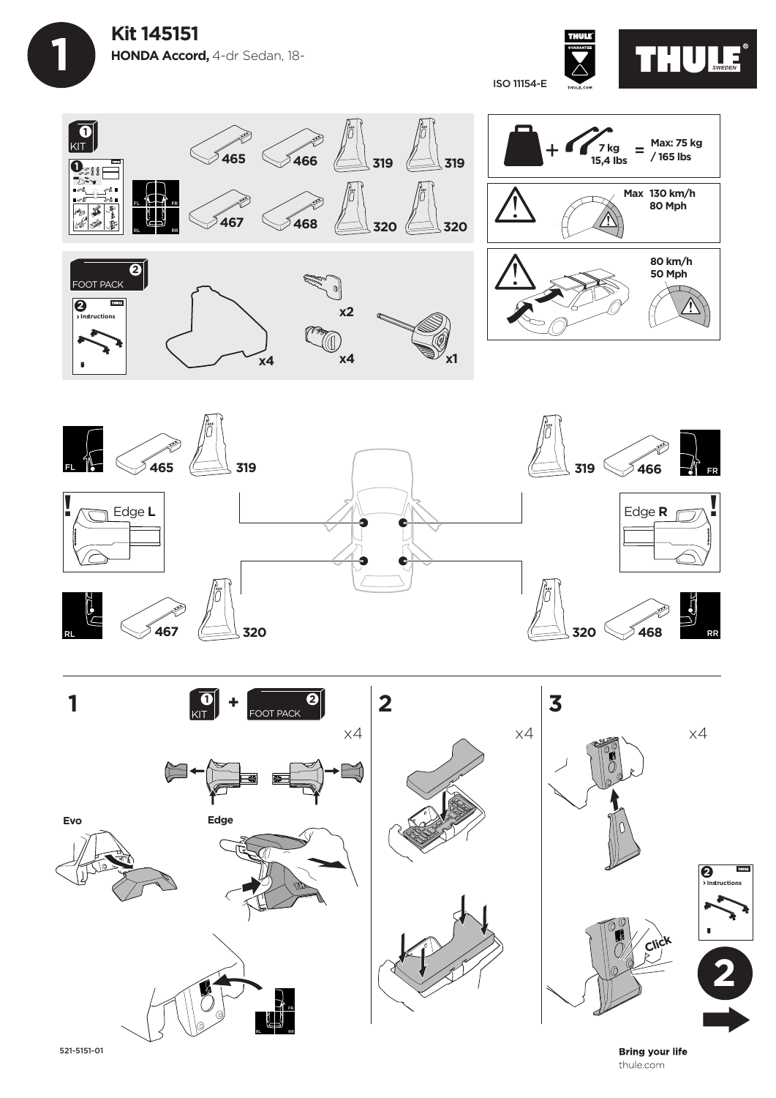









**Bring your life** thule.com

521-5151-01